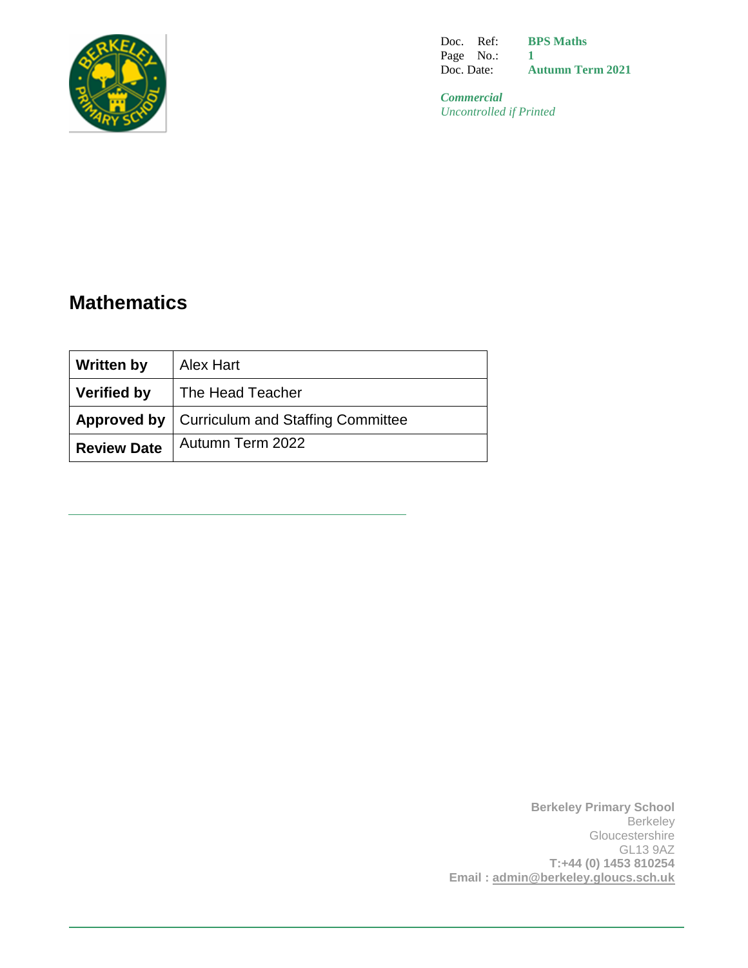

Doc. Ref: Page No.: Doc. Date: **BPS Maths 1 Autumn Term 2021**

*Commercial Uncontrolled if Printed*

# **Mathematics**

| <b>Written by</b>  | <b>Alex Hart</b>                                       |
|--------------------|--------------------------------------------------------|
| <b>Verified by</b> | The Head Teacher                                       |
|                    | <b>Approved by   Curriculum and Staffing Committee</b> |
| <b>Review Date</b> | Autumn Term 2022                                       |

**Berkeley Primary School Berkeley** Gloucestershire GL13 9AZ **T:+44 (0) 1453 810254 Email : [admin@berkeley.gloucs.sch.uk](mailto:admin@berkeley.gloucs.sch.uk)**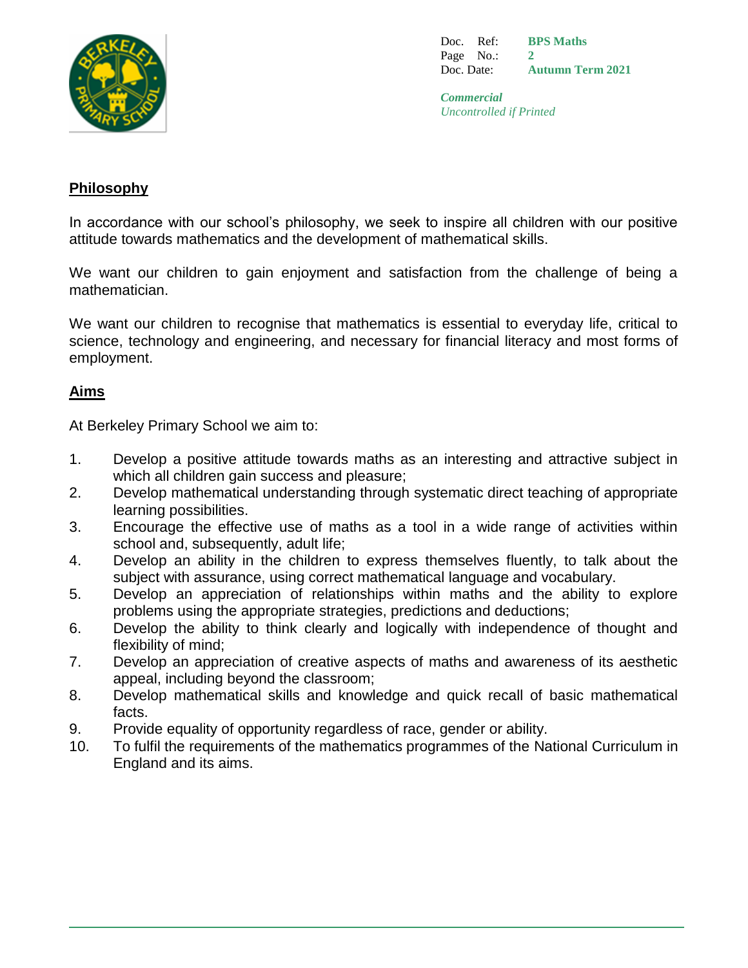

Doc. Ref: Page No.: Doc. Date: **BPS Maths 2 Autumn Term 2021**

*Commercial Uncontrolled if Printed*

## **Philosophy**

In accordance with our school's philosophy, we seek to inspire all children with our positive attitude towards mathematics and the development of mathematical skills.

We want our children to gain enjoyment and satisfaction from the challenge of being a mathematician.

We want our children to recognise that mathematics is essential to everyday life, critical to science, technology and engineering, and necessary for financial literacy and most forms of employment.

# **Aims**

At Berkeley Primary School we aim to:

- 1. Develop a positive attitude towards maths as an interesting and attractive subject in which all children gain success and pleasure;
- 2. Develop mathematical understanding through systematic direct teaching of appropriate learning possibilities.
- 3. Encourage the effective use of maths as a tool in a wide range of activities within school and, subsequently, adult life;
- 4. Develop an ability in the children to express themselves fluently, to talk about the subject with assurance, using correct mathematical language and vocabulary.
- 5. Develop an appreciation of relationships within maths and the ability to explore problems using the appropriate strategies, predictions and deductions;
- 6. Develop the ability to think clearly and logically with independence of thought and flexibility of mind;
- 7. Develop an appreciation of creative aspects of maths and awareness of its aesthetic appeal, including beyond the classroom;
- 8. Develop mathematical skills and knowledge and quick recall of basic mathematical facts.
- 9. Provide equality of opportunity regardless of race, gender or ability.
- 10. To fulfil the requirements of the mathematics programmes of the National Curriculum in England and its aims.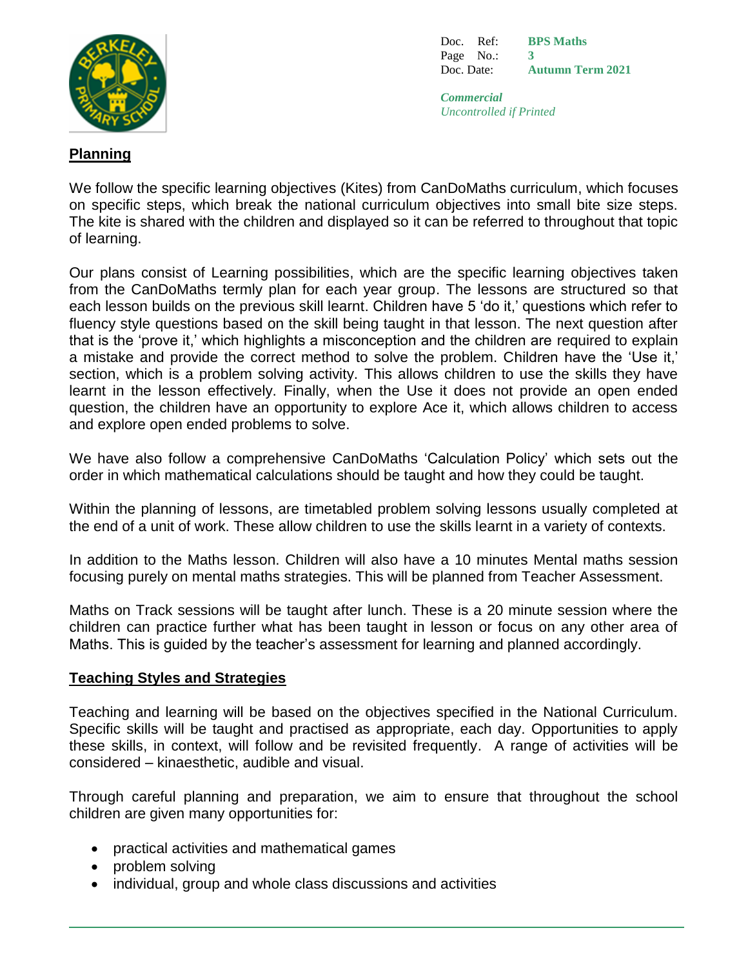

Doc. Ref: Page No.: Doc. Date: **BPS Maths 3 Autumn Term 2021**

*Commercial Uncontrolled if Printed*

# **Planning**

We follow the specific learning objectives (Kites) from CanDoMaths curriculum, which focuses on specific steps, which break the national curriculum objectives into small bite size steps. The kite is shared with the children and displayed so it can be referred to throughout that topic of learning.

Our plans consist of Learning possibilities, which are the specific learning objectives taken from the CanDoMaths termly plan for each year group. The lessons are structured so that each lesson builds on the previous skill learnt. Children have 5 'do it,' questions which refer to fluency style questions based on the skill being taught in that lesson. The next question after that is the 'prove it,' which highlights a misconception and the children are required to explain a mistake and provide the correct method to solve the problem. Children have the 'Use it,' section, which is a problem solving activity. This allows children to use the skills they have learnt in the lesson effectively. Finally, when the Use it does not provide an open ended question, the children have an opportunity to explore Ace it, which allows children to access and explore open ended problems to solve.

We have also follow a comprehensive CanDoMaths 'Calculation Policy' which sets out the order in which mathematical calculations should be taught and how they could be taught.

Within the planning of lessons, are timetabled problem solving lessons usually completed at the end of a unit of work. These allow children to use the skills learnt in a variety of contexts.

In addition to the Maths lesson. Children will also have a 10 minutes Mental maths session focusing purely on mental maths strategies. This will be planned from Teacher Assessment.

Maths on Track sessions will be taught after lunch. These is a 20 minute session where the children can practice further what has been taught in lesson or focus on any other area of Maths. This is guided by the teacher's assessment for learning and planned accordingly.

#### **Teaching Styles and Strategies**

Teaching and learning will be based on the objectives specified in the National Curriculum. Specific skills will be taught and practised as appropriate, each day. Opportunities to apply these skills, in context, will follow and be revisited frequently. A range of activities will be considered – kinaesthetic, audible and visual.

Through careful planning and preparation, we aim to ensure that throughout the school children are given many opportunities for:

- practical activities and mathematical games
- problem solving
- individual, group and whole class discussions and activities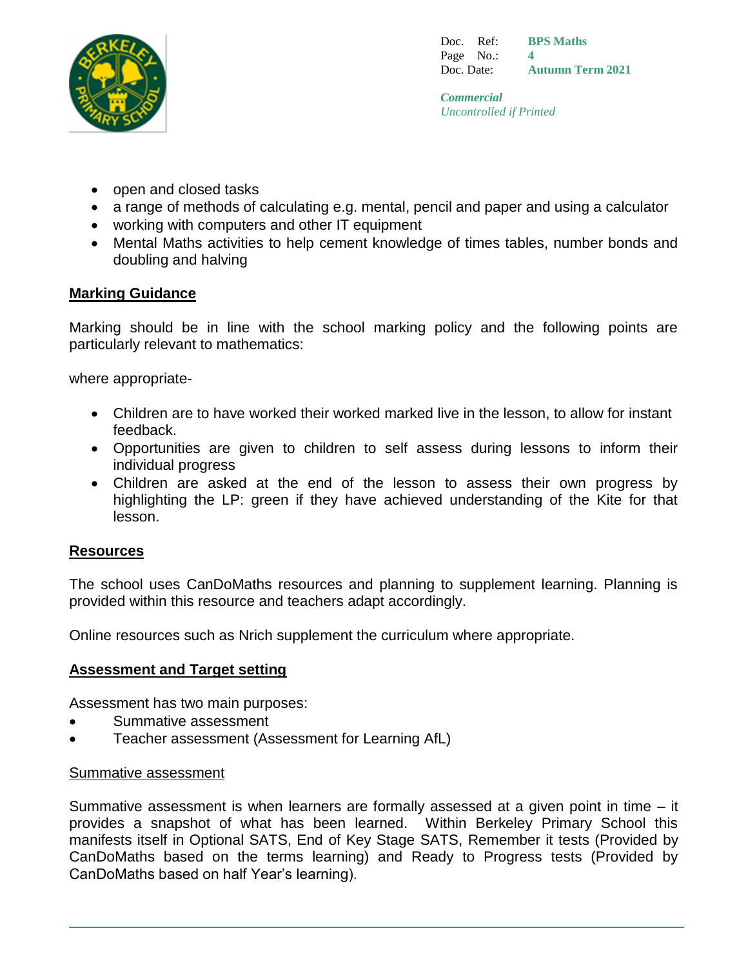

Doc. Ref: Page No.: Doc. Date: **BPS Maths 4 Autumn Term 2021**

*Commercial Uncontrolled if Printed*

- open and closed tasks
- a range of methods of calculating e.g. mental, pencil and paper and using a calculator
- working with computers and other IT equipment
- Mental Maths activities to help cement knowledge of times tables, number bonds and doubling and halving

# **Marking Guidance**

Marking should be in line with the school marking policy and the following points are particularly relevant to mathematics:

where appropriate-

- Children are to have worked their worked marked live in the lesson, to allow for instant feedback.
- Opportunities are given to children to self assess during lessons to inform their individual progress
- Children are asked at the end of the lesson to assess their own progress by highlighting the LP: green if they have achieved understanding of the Kite for that lesson.

#### **Resources**

The school uses CanDoMaths resources and planning to supplement learning. Planning is provided within this resource and teachers adapt accordingly.

Online resources such as Nrich supplement the curriculum where appropriate.

#### **Assessment and Target setting**

Assessment has two main purposes:

- Summative assessment
- Teacher assessment (Assessment for Learning AfL)

#### Summative assessment

Summative assessment is when learners are formally assessed at a given point in time – it provides a snapshot of what has been learned. Within Berkeley Primary School this manifests itself in Optional SATS, End of Key Stage SATS, Remember it tests (Provided by CanDoMaths based on the terms learning) and Ready to Progress tests (Provided by CanDoMaths based on half Year's learning).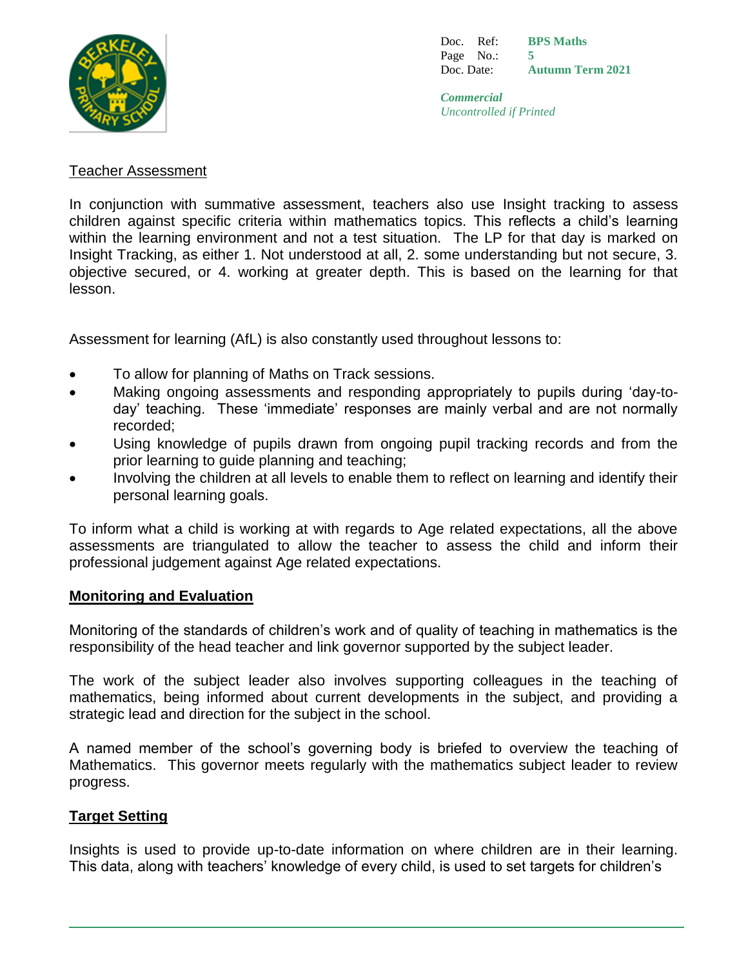

Doc. Ref: Page No.: Doc. Date: **BPS Maths 5 Autumn Term 2021**

*Commercial Uncontrolled if Printed*

#### Teacher Assessment

In conjunction with summative assessment, teachers also use Insight tracking to assess children against specific criteria within mathematics topics. This reflects a child's learning within the learning environment and not a test situation. The LP for that day is marked on Insight Tracking, as either 1. Not understood at all, 2. some understanding but not secure, 3. objective secured, or 4. working at greater depth. This is based on the learning for that lesson.

Assessment for learning (AfL) is also constantly used throughout lessons to:

- To allow for planning of Maths on Track sessions.
- Making ongoing assessments and responding appropriately to pupils during 'day-today' teaching. These 'immediate' responses are mainly verbal and are not normally recorded;
- Using knowledge of pupils drawn from ongoing pupil tracking records and from the prior learning to guide planning and teaching;
- Involving the children at all levels to enable them to reflect on learning and identify their personal learning goals.

To inform what a child is working at with regards to Age related expectations, all the above assessments are triangulated to allow the teacher to assess the child and inform their professional judgement against Age related expectations.

#### **Monitoring and Evaluation**

Monitoring of the standards of children's work and of quality of teaching in mathematics is the responsibility of the head teacher and link governor supported by the subject leader.

The work of the subject leader also involves supporting colleagues in the teaching of mathematics, being informed about current developments in the subject, and providing a strategic lead and direction for the subject in the school.

A named member of the school's governing body is briefed to overview the teaching of Mathematics. This governor meets regularly with the mathematics subject leader to review progress.

#### **Target Setting**

Insights is used to provide up-to-date information on where children are in their learning. This data, along with teachers' knowledge of every child, is used to set targets for children's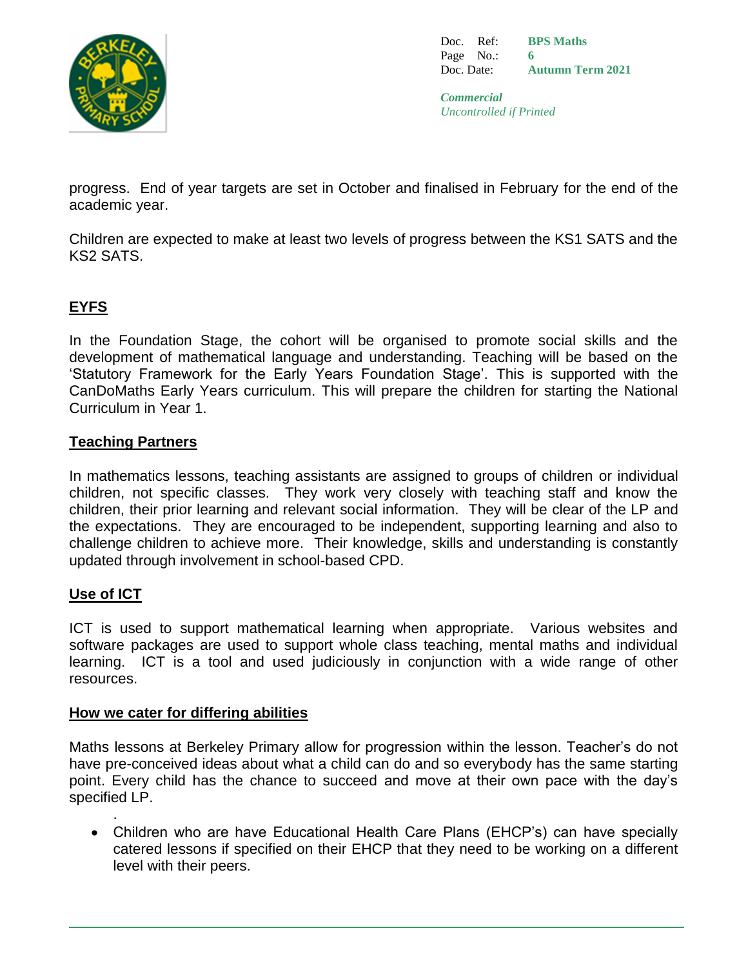

Doc. Ref: Page No.: Doc. Date: **BPS Maths 6 Autumn Term 2021**

*Commercial Uncontrolled if Printed*

progress. End of year targets are set in October and finalised in February for the end of the academic year.

Children are expected to make at least two levels of progress between the KS1 SATS and the KS2 SATS.

# **EYFS**

In the Foundation Stage, the cohort will be organised to promote social skills and the development of mathematical language and understanding. Teaching will be based on the 'Statutory Framework for the Early Years Foundation Stage'. This is supported with the CanDoMaths Early Years curriculum. This will prepare the children for starting the National Curriculum in Year 1.

# **Teaching Partners**

In mathematics lessons, teaching assistants are assigned to groups of children or individual children, not specific classes. They work very closely with teaching staff and know the children, their prior learning and relevant social information. They will be clear of the LP and the expectations. They are encouraged to be independent, supporting learning and also to challenge children to achieve more. Their knowledge, skills and understanding is constantly updated through involvement in school-based CPD.

#### **Use of ICT**

.

ICT is used to support mathematical learning when appropriate. Various websites and software packages are used to support whole class teaching, mental maths and individual learning. ICT is a tool and used judiciously in conjunction with a wide range of other resources.

#### **How we cater for differing abilities**

Maths lessons at Berkeley Primary allow for progression within the lesson. Teacher's do not have pre-conceived ideas about what a child can do and so everybody has the same starting point. Every child has the chance to succeed and move at their own pace with the day's specified LP.

 Children who are have Educational Health Care Plans (EHCP's) can have specially catered lessons if specified on their EHCP that they need to be working on a different level with their peers.